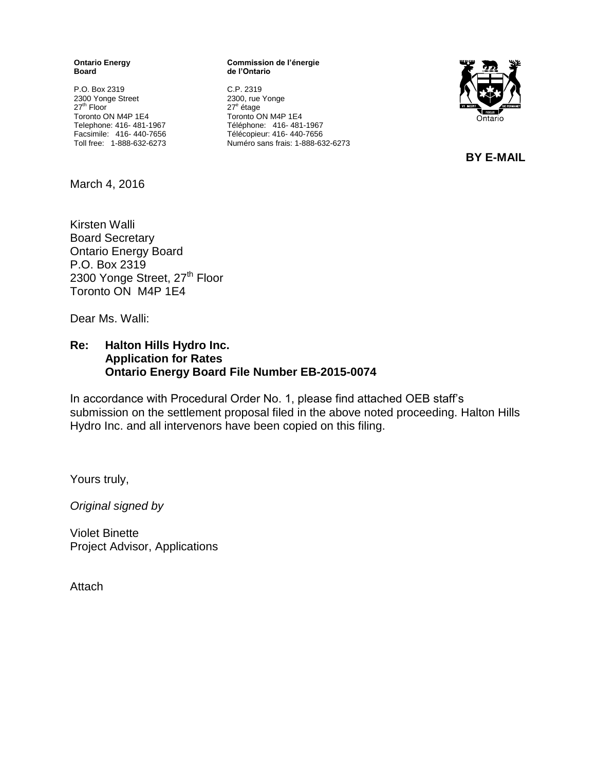**Ontario Energy Board**

P.O. Box 2319 2300 Yonge Street 27<sup>th</sup> Floor Toronto ON M4P 1E4 Telephone: 416- 481-1967 Facsimile: 416- 440-7656 Toll free: 1-888-632-6273

#### **Commission de l'énergie de l'Ontario**

C.P. 2319 2300, rue Yonge 27<sup>e</sup> étage Toronto ON M4P 1E4 Téléphone: 416- 481-1967 Télécopieur: 416- 440-7656 Numéro sans frais: 1-888-632-6273



**BY E-MAIL**

March 4, 2016

Kirsten Walli Board Secretary Ontario Energy Board P.O. Box 2319 2300 Yonge Street, 27<sup>th</sup> Floor Toronto ON M4P 1E4

Dear Ms. Walli:

#### **Re: Halton Hills Hydro Inc. Application for Rates Ontario Energy Board File Number EB-2015-0074**

In accordance with Procedural Order No. 1, please find attached OEB staff's submission on the settlement proposal filed in the above noted proceeding. Halton Hills Hydro Inc. and all intervenors have been copied on this filing.

Yours truly,

*Original signed by*

Violet Binette Project Advisor, Applications

**Attach**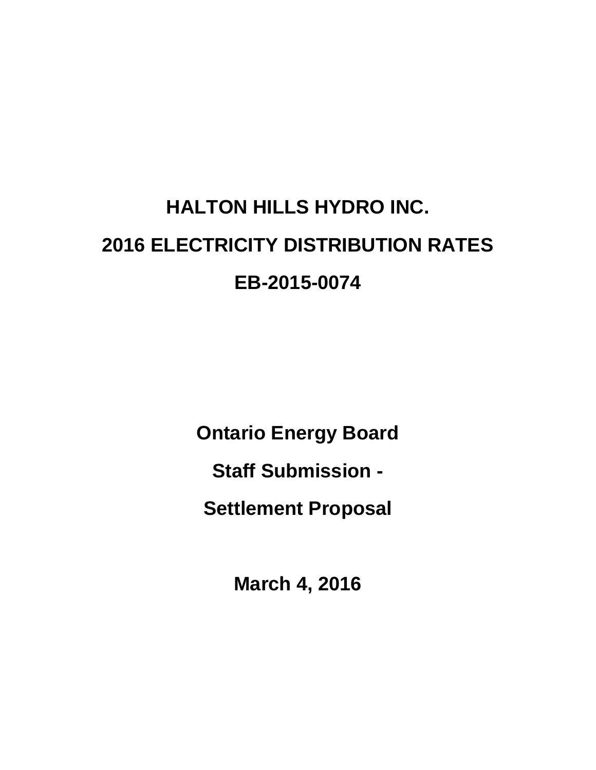# **HALTON HILLS HYDRO INC. 2016 ELECTRICITY DISTRIBUTION RATES EB-2015-0074**

**Ontario Energy Board**

**Staff Submission -**

**Settlement Proposal**

**March 4, 2016**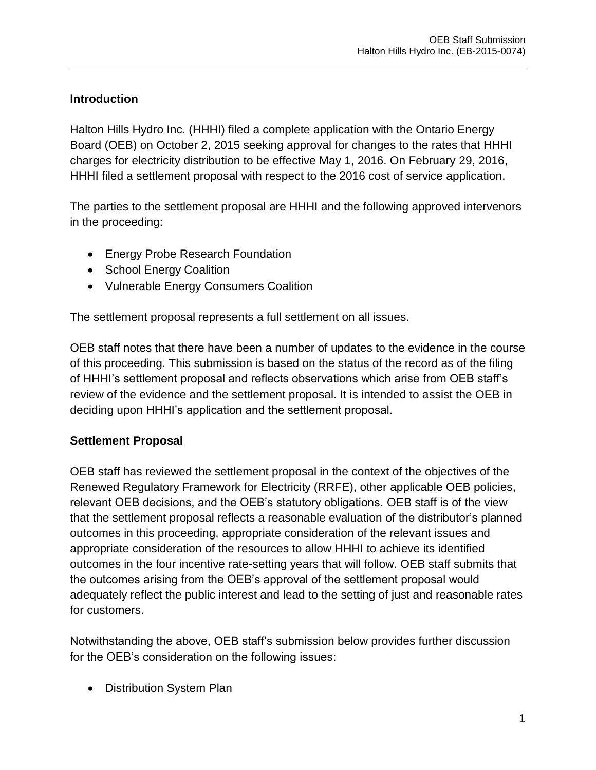# **Introduction**

Halton Hills Hydro Inc. (HHHI) filed a complete application with the Ontario Energy Board (OEB) on October 2, 2015 seeking approval for changes to the rates that HHHI charges for electricity distribution to be effective May 1, 2016. On February 29, 2016, HHHI filed a settlement proposal with respect to the 2016 cost of service application.

The parties to the settlement proposal are HHHI and the following approved intervenors in the proceeding:

- Energy Probe Research Foundation
- School Energy Coalition
- Vulnerable Energy Consumers Coalition

The settlement proposal represents a full settlement on all issues.

OEB staff notes that there have been a number of updates to the evidence in the course of this proceeding. This submission is based on the status of the record as of the filing of HHHI's settlement proposal and reflects observations which arise from OEB staff's review of the evidence and the settlement proposal. It is intended to assist the OEB in deciding upon HHHI's application and the settlement proposal.

# **Settlement Proposal**

OEB staff has reviewed the settlement proposal in the context of the objectives of the Renewed Regulatory Framework for Electricity (RRFE), other applicable OEB policies, relevant OEB decisions, and the OEB's statutory obligations. OEB staff is of the view that the settlement proposal reflects a reasonable evaluation of the distributor's planned outcomes in this proceeding, appropriate consideration of the relevant issues and appropriate consideration of the resources to allow HHHI to achieve its identified outcomes in the four incentive rate-setting years that will follow. OEB staff submits that the outcomes arising from the OEB's approval of the settlement proposal would adequately reflect the public interest and lead to the setting of just and reasonable rates for customers.

Notwithstanding the above, OEB staff's submission below provides further discussion for the OEB's consideration on the following issues:

• Distribution System Plan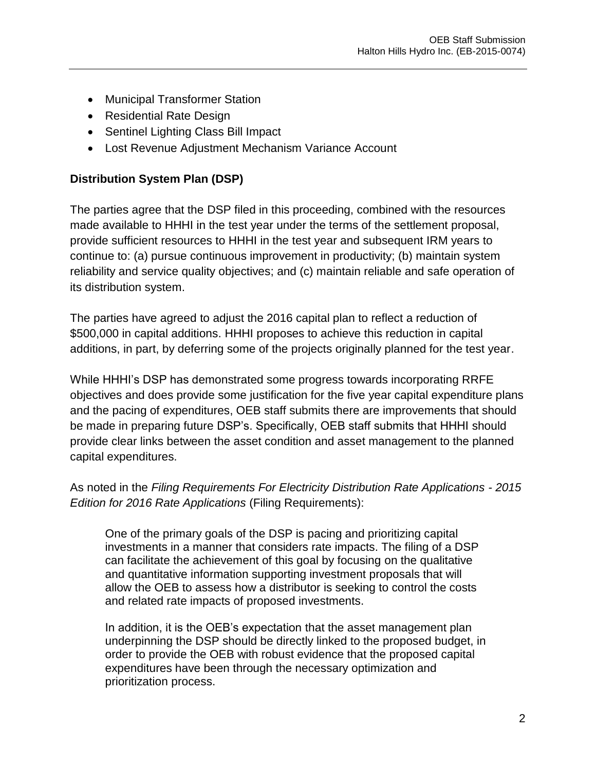- Municipal Transformer Station
- Residential Rate Design
- Sentinel Lighting Class Bill Impact
- Lost Revenue Adjustment Mechanism Variance Account

#### **Distribution System Plan (DSP)**

The parties agree that the DSP filed in this proceeding, combined with the resources made available to HHHI in the test year under the terms of the settlement proposal, provide sufficient resources to HHHI in the test year and subsequent IRM years to continue to: (a) pursue continuous improvement in productivity; (b) maintain system reliability and service quality objectives; and (c) maintain reliable and safe operation of its distribution system.

The parties have agreed to adjust the 2016 capital plan to reflect a reduction of \$500,000 in capital additions. HHHI proposes to achieve this reduction in capital additions, in part, by deferring some of the projects originally planned for the test year.

While HHHI's DSP has demonstrated some progress towards incorporating RRFE objectives and does provide some justification for the five year capital expenditure plans and the pacing of expenditures, OEB staff submits there are improvements that should be made in preparing future DSP's. Specifically, OEB staff submits that HHHI should provide clear links between the asset condition and asset management to the planned capital expenditures.

As noted in the *Filing Requirements For Electricity Distribution Rate Applications - 2015 Edition for 2016 Rate Applications* (Filing Requirements):

One of the primary goals of the DSP is pacing and prioritizing capital investments in a manner that considers rate impacts. The filing of a DSP can facilitate the achievement of this goal by focusing on the qualitative and quantitative information supporting investment proposals that will allow the OEB to assess how a distributor is seeking to control the costs and related rate impacts of proposed investments.

In addition, it is the OEB's expectation that the asset management plan underpinning the DSP should be directly linked to the proposed budget, in order to provide the OEB with robust evidence that the proposed capital expenditures have been through the necessary optimization and prioritization process.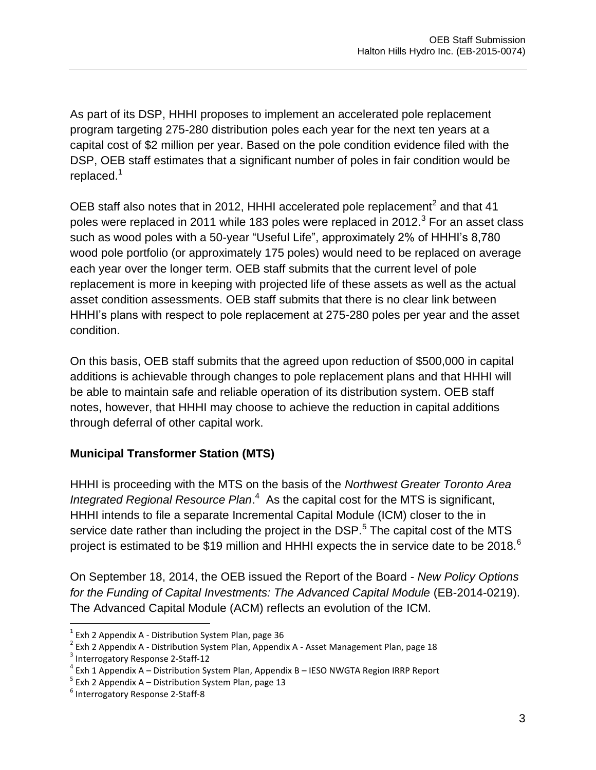As part of its DSP, HHHI proposes to implement an accelerated pole replacement program targeting 275-280 distribution poles each year for the next ten years at a capital cost of \$2 million per year. Based on the pole condition evidence filed with the DSP, OEB staff estimates that a significant number of poles in fair condition would be replaced.<sup>1</sup>

OEB staff also notes that in 2012, HHHI accelerated pole replacement<sup>2</sup> and that 41 poles were replaced in 2011 while 183 poles were replaced in 2012. $^3$  For an asset class such as wood poles with a 50-year "Useful Life", approximately 2% of HHHI's 8,780 wood pole portfolio (or approximately 175 poles) would need to be replaced on average each year over the longer term. OEB staff submits that the current level of pole replacement is more in keeping with projected life of these assets as well as the actual asset condition assessments. OEB staff submits that there is no clear link between HHHI's plans with respect to pole replacement at 275-280 poles per year and the asset condition.

On this basis, OEB staff submits that the agreed upon reduction of \$500,000 in capital additions is achievable through changes to pole replacement plans and that HHHI will be able to maintain safe and reliable operation of its distribution system. OEB staff notes, however, that HHHI may choose to achieve the reduction in capital additions through deferral of other capital work.

# **Municipal Transformer Station (MTS)**

HHHI is proceeding with the MTS on the basis of the *Northwest Greater Toronto Area*  Integrated Regional Resource Plan.<sup>4</sup> As the capital cost for the MTS is significant, HHHI intends to file a separate Incremental Capital Module (ICM) closer to the in service date rather than including the project in the DSP.<sup>5</sup> The capital cost of the MTS project is estimated to be \$19 million and HHHI expects the in service date to be 2018.<sup>6</sup>

On September 18, 2014, the OEB issued the Report of the Board - *New Policy Options for the Funding of Capital Investments: The Advanced Capital Module* (EB-2014-0219). The Advanced Capital Module (ACM) reflects an evolution of the ICM.

 $<sup>1</sup>$  Exh 2 Appendix A - Distribution System Plan, page 36</sup>

 $2^{2}$  Exh 2 Appendix A - Distribution System Plan, Appendix A - Asset Management Plan, page 18

<sup>&</sup>lt;sup>3</sup> Interrogatory Response 2-Staff-12

<sup>&</sup>lt;sup>4</sup> Exh 1 Appendix A – Distribution System Plan, Appendix B – IESO NWGTA Region IRRP Report

<sup>&</sup>lt;sup>5</sup> Exh 2 Appendix A – Distribution System Plan, page 13

<sup>6</sup> Interrogatory Response 2-Staff-8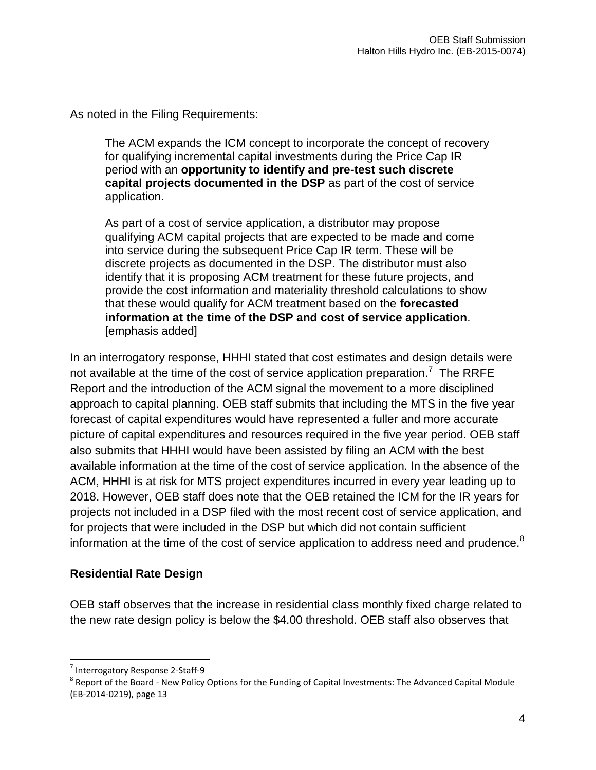As noted in the Filing Requirements:

The ACM expands the ICM concept to incorporate the concept of recovery for qualifying incremental capital investments during the Price Cap IR period with an **opportunity to identify and pre-test such discrete capital projects documented in the DSP** as part of the cost of service application.

As part of a cost of service application, a distributor may propose qualifying ACM capital projects that are expected to be made and come into service during the subsequent Price Cap IR term. These will be discrete projects as documented in the DSP. The distributor must also identify that it is proposing ACM treatment for these future projects, and provide the cost information and materiality threshold calculations to show that these would qualify for ACM treatment based on the **forecasted information at the time of the DSP and cost of service application**. [emphasis added]

In an interrogatory response, HHHI stated that cost estimates and design details were not available at the time of the cost of service application preparation.<sup>7</sup> The RRFE Report and the introduction of the ACM signal the movement to a more disciplined approach to capital planning. OEB staff submits that including the MTS in the five year forecast of capital expenditures would have represented a fuller and more accurate picture of capital expenditures and resources required in the five year period. OEB staff also submits that HHHI would have been assisted by filing an ACM with the best available information at the time of the cost of service application. In the absence of the ACM, HHHI is at risk for MTS project expenditures incurred in every year leading up to 2018. However, OEB staff does note that the OEB retained the ICM for the IR years for projects not included in a DSP filed with the most recent cost of service application, and for projects that were included in the DSP but which did not contain sufficient information at the time of the cost of service application to address need and prudence.<sup>8</sup>

#### **Residential Rate Design**

OEB staff observes that the increase in residential class monthly fixed charge related to the new rate design policy is below the \$4.00 threshold. OEB staff also observes that

<sup>&</sup>lt;sup>7</sup> Interrogatory Response 2-Staff-9

 $^8$  Report of the Board - New Policy Options for the Funding of Capital Investments: The Advanced Capital Module (EB-2014-0219), page 13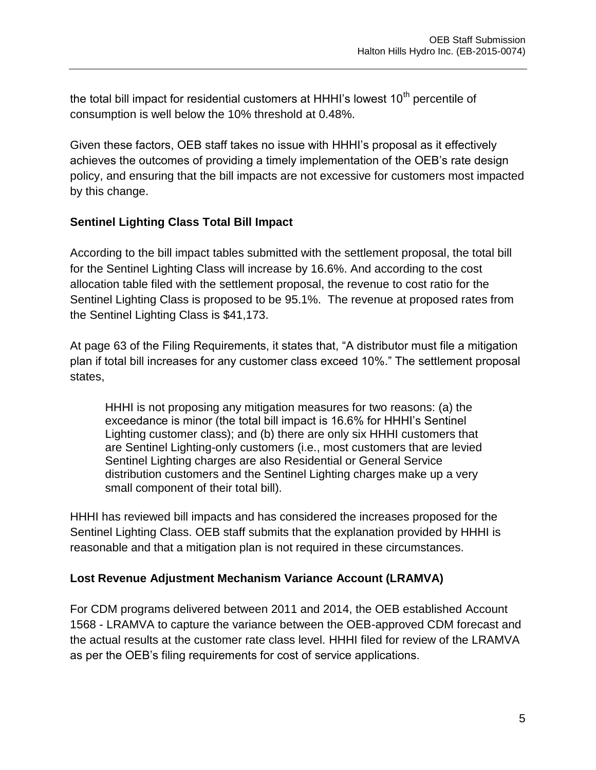the total bill impact for residential customers at HHHI's lowest  $10<sup>th</sup>$  percentile of consumption is well below the 10% threshold at 0.48%.

Given these factors, OEB staff takes no issue with HHHI's proposal as it effectively achieves the outcomes of providing a timely implementation of the OEB's rate design policy, and ensuring that the bill impacts are not excessive for customers most impacted by this change.

#### **Sentinel Lighting Class Total Bill Impact**

According to the bill impact tables submitted with the settlement proposal, the total bill for the Sentinel Lighting Class will increase by 16.6%. And according to the cost allocation table filed with the settlement proposal, the revenue to cost ratio for the Sentinel Lighting Class is proposed to be 95.1%. The revenue at proposed rates from the Sentinel Lighting Class is \$41,173.

At page 63 of the Filing Requirements, it states that, "A distributor must file a mitigation plan if total bill increases for any customer class exceed 10%." The settlement proposal states,

HHHI is not proposing any mitigation measures for two reasons: (a) the exceedance is minor (the total bill impact is 16.6% for HHHI's Sentinel Lighting customer class); and (b) there are only six HHHI customers that are Sentinel Lighting-only customers (i.e., most customers that are levied Sentinel Lighting charges are also Residential or General Service distribution customers and the Sentinel Lighting charges make up a very small component of their total bill).

HHHI has reviewed bill impacts and has considered the increases proposed for the Sentinel Lighting Class. OEB staff submits that the explanation provided by HHHI is reasonable and that a mitigation plan is not required in these circumstances.

#### **Lost Revenue Adjustment Mechanism Variance Account (LRAMVA)**

For CDM programs delivered between 2011 and 2014, the OEB established Account 1568 - LRAMVA to capture the variance between the OEB-approved CDM forecast and the actual results at the customer rate class level. HHHI filed for review of the LRAMVA as per the OEB's filing requirements for cost of service applications.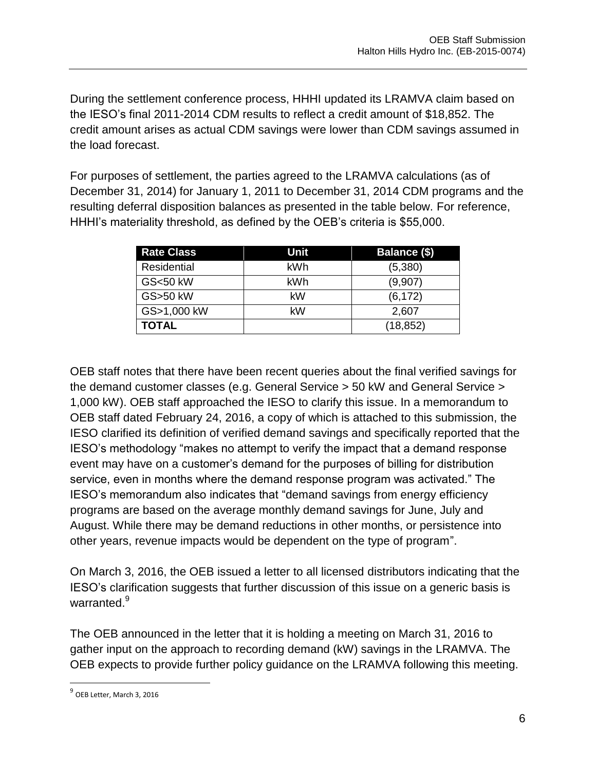During the settlement conference process, HHHI updated its LRAMVA claim based on the IESO's final 2011-2014 CDM results to reflect a credit amount of \$18,852. The credit amount arises as actual CDM savings were lower than CDM savings assumed in the load forecast.

For purposes of settlement, the parties agreed to the LRAMVA calculations (as of December 31, 2014) for January 1, 2011 to December 31, 2014 CDM programs and the resulting deferral disposition balances as presented in the table below. For reference, HHHI's materiality threshold, as defined by the OEB's criteria is \$55,000.

| <b>Rate Class</b> | Unit | Balance (\$) |
|-------------------|------|--------------|
| Residential       | kWh  | (5,380)      |
| GS<50 kW          | kWh  | (9,907)      |
| GS>50 kW          | kW   | (6, 172)     |
| GS>1,000 kW       | kW   | 2,607        |
| <b>TOTAL</b>      |      | (18, 852)    |

OEB staff notes that there have been recent queries about the final verified savings for the demand customer classes (e.g. General Service > 50 kW and General Service > 1,000 kW). OEB staff approached the IESO to clarify this issue. In a memorandum to OEB staff dated February 24, 2016, a copy of which is attached to this submission, the IESO clarified its definition of verified demand savings and specifically reported that the IESO's methodology "makes no attempt to verify the impact that a demand response event may have on a customer's demand for the purposes of billing for distribution service, even in months where the demand response program was activated." The IESO's memorandum also indicates that "demand savings from energy efficiency programs are based on the average monthly demand savings for June, July and August. While there may be demand reductions in other months, or persistence into other years, revenue impacts would be dependent on the type of program".

On March 3, 2016, the OEB issued a letter to all licensed distributors indicating that the IESO's clarification suggests that further discussion of this issue on a generic basis is warranted.<sup>9</sup>

The OEB announced in the letter that it is holding a meeting on March 31, 2016 to gather input on the approach to recording demand (kW) savings in the LRAMVA. The OEB expects to provide further policy guidance on the LRAMVA following this meeting.

<sup>&</sup>lt;sup>9</sup> OEB Letter, March 3, 2016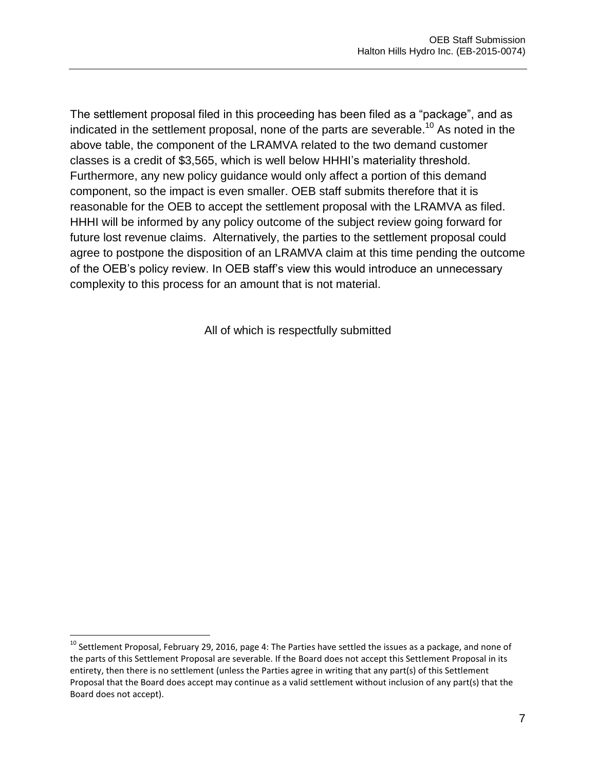The settlement proposal filed in this proceeding has been filed as a "package", and as indicated in the settlement proposal, none of the parts are severable.<sup>10</sup> As noted in the above table, the component of the LRAMVA related to the two demand customer classes is a credit of \$3,565, which is well below HHHI's materiality threshold. Furthermore, any new policy guidance would only affect a portion of this demand component, so the impact is even smaller. OEB staff submits therefore that it is reasonable for the OEB to accept the settlement proposal with the LRAMVA as filed. HHHI will be informed by any policy outcome of the subject review going forward for future lost revenue claims. Alternatively, the parties to the settlement proposal could agree to postpone the disposition of an LRAMVA claim at this time pending the outcome of the OEB's policy review. In OEB staff's view this would introduce an unnecessary complexity to this process for an amount that is not material.

All of which is respectfully submitted

 $^{10}$  Settlement Proposal, February 29, 2016, page 4: The Parties have settled the issues as a package, and none of the parts of this Settlement Proposal are severable. If the Board does not accept this Settlement Proposal in its entirety, then there is no settlement (unless the Parties agree in writing that any part(s) of this Settlement Proposal that the Board does accept may continue as a valid settlement without inclusion of any part(s) that the Board does not accept).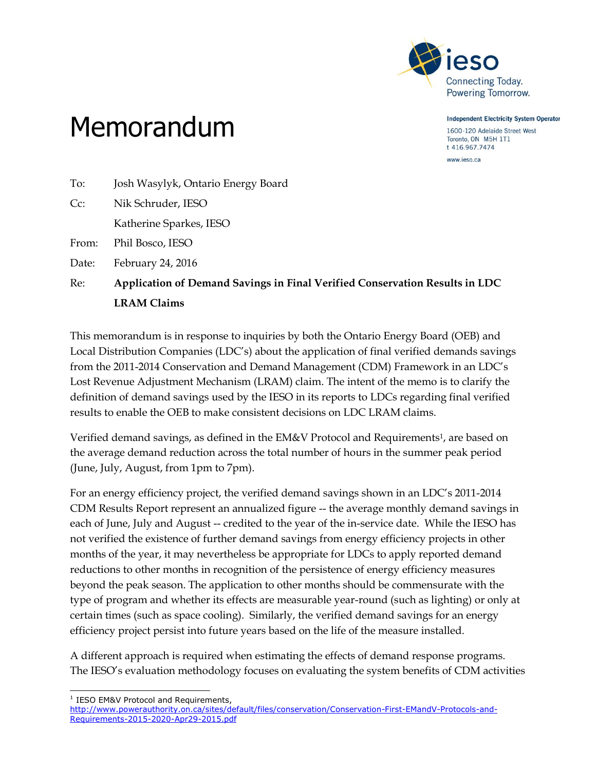

**Independent Electricity System Operator** 

1600-120 Adelaide Street West Toronto, ON M5H 1T1 t 416.967.7474

www.ieso.ca

- 
- To: Josh Wasylyk, Ontario Energy Board Cc: Nik Schruder, IESO

Katherine Sparkes, IESO

Memorandum

From: Phil Bosco, IESO

Date: February 24, 2016

Re: **Application of Demand Savings in Final Verified Conservation Results in LDC LRAM Claims**

This memorandum is in response to inquiries by both the Ontario Energy Board (OEB) and Local Distribution Companies (LDC's) about the application of final verified demands savings from the 2011-2014 Conservation and Demand Management (CDM) Framework in an LDC's Lost Revenue Adjustment Mechanism (LRAM) claim. The intent of the memo is to clarify the definition of demand savings used by the IESO in its reports to LDCs regarding final verified results to enable the OEB to make consistent decisions on LDC LRAM claims.

Verified demand savings, as defined in the EM&V Protocol and Requirements1, are based on the average demand reduction across the total number of hours in the summer peak period (June, July, August, from 1pm to 7pm).

For an energy efficiency project, the verified demand savings shown in an LDC's 2011-2014 CDM Results Report represent an annualized figure -- the average monthly demand savings in each of June, July and August -- credited to the year of the in-service date. While the IESO has not verified the existence of further demand savings from energy efficiency projects in other months of the year, it may nevertheless be appropriate for LDCs to apply reported demand reductions to other months in recognition of the persistence of energy efficiency measures beyond the peak season. The application to other months should be commensurate with the type of program and whether its effects are measurable year-round (such as lighting) or only at certain times (such as space cooling). Similarly, the verified demand savings for an energy efficiency project persist into future years based on the life of the measure installed.

A different approach is required when estimating the effects of demand response programs. The IESO's evaluation methodology focuses on evaluating the system benefits of CDM activities

ł <sup>1</sup> IESO EM&V Protocol and Requirements,

[http://www.powerauthority.on.ca/sites/default/files/conservation/Conservation-First-EMandV-Protocols-and-](http://www.powerauthority.on.ca/sites/default/files/conservation/Conservation-First-EMandV-Protocols-and-Requirements-2015-2020-Apr29-2015.pdf)[Requirements-2015-2020-Apr29-2015.pdf](http://www.powerauthority.on.ca/sites/default/files/conservation/Conservation-First-EMandV-Protocols-and-Requirements-2015-2020-Apr29-2015.pdf)